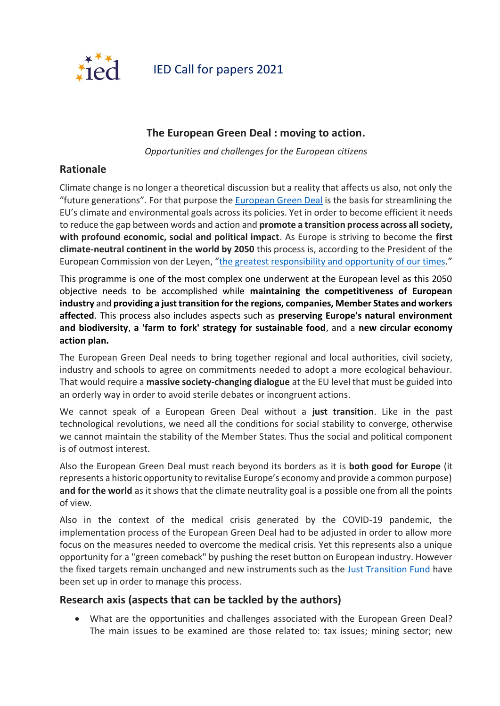

IED Call for papers 2021

# **The European Green Deal : moving to action.**

*Opportunities and challenges for the European citizens*

# **Rationale**

Climate change is no longer a theoretical discussion but a reality that affects us also, not only the "future generations". For that purpose the [European Green Deal](https://ec.europa.eu/info/strategy/priorities-2019-2024/european-green-deal_en) is the basis for streamlining the EU's climate and environmental goals across its policies. Yet in order to become efficient it needs to reduce the gap between words and action and **promote a transition process across all society, with profound economic, social and political impact**. As Europe is striving to become the **first climate-neutral continent in the world by 2050** this process is, according to the President of the European Commission von der Leyen, "[the greatest responsibility and opportunity of our times](https://ec.europa.eu/commission/presscorner/detail/en/SPEECH_19_4230)."

This programme is one of the most complex one underwent at the European level as this 2050 objective needs to be accomplished while **maintaining the competitiveness of European industry** and **providing a just transition for the regions, companies, Member States and workers affected**. This process also includes aspects such as **preserving Europe's natural environment and biodiversity**, **a 'farm to fork' strategy for sustainable food**, and a **new circular economy action plan.**

The European Green Deal needs to bring together regional and local authorities, civil society, industry and schools to agree on commitments needed to adopt a more ecological behaviour. That would require a **massive society-changing dialogue** at the EU level that must be guided into an orderly way in order to avoid sterile debates or incongruent actions.

We cannot speak of a European Green Deal without a **just transition**. Like in the past technological revolutions, we need all the conditions for social stability to converge, otherwise we cannot maintain the stability of the Member States. Thus the social and political component is of outmost interest.

Also the European Green Deal must reach beyond its borders as it is **both good for Europe** (it represents a historic opportunity to revitalise Europe's economy and provide a common purpose) **and for the world** as it shows that the climate neutrality goal is a possible one from all the points of view.

Also in the context of the medical crisis generated by the COVID-19 pandemic, the implementation process of the European Green Deal had to be adjusted in order to allow more focus on the measures needed to overcome the medical crisis. Yet this represents also a unique opportunity for a "green comeback" by pushing the reset button on European industry. However the fixed targets remain unchanged and new instruments such as the [Just Transition Fund](https://ec.europa.eu/commission/presscorner/detail/en/IP_20_2354) have been set up in order to manage this process.

## **Research axis (aspects that can be tackled by the authors)**

• What are the opportunities and challenges associated with the European Green Deal? The main issues to be examined are those related to: tax issues; mining sector; new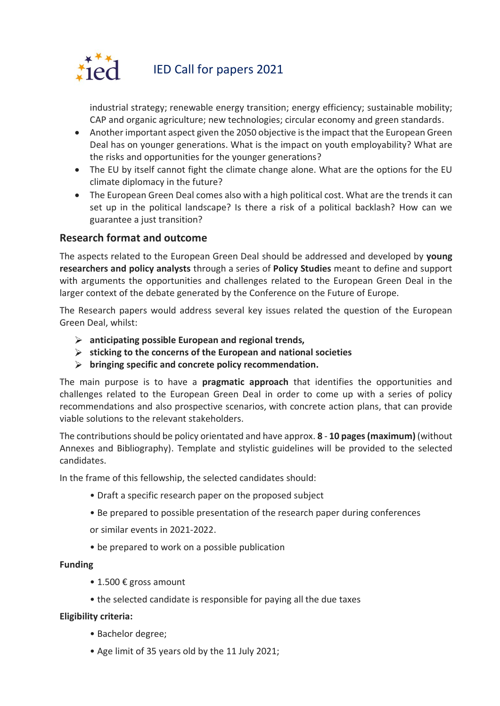

# IED Call for papers 2021

industrial strategy; renewable energy transition; energy efficiency; sustainable mobility; CAP and organic agriculture; new technologies; circular economy and green standards.

- Another important aspect given the 2050 objective is the impact that the European Green Deal has on younger generations. What is the impact on youth employability? What are the risks and opportunities for the younger generations?
- The EU by itself cannot fight the climate change alone. What are the options for the EU climate diplomacy in the future?
- The European Green Deal comes also with a high political cost. What are the trends it can set up in the political landscape? Is there a risk of a political backlash? How can we guarantee a just transition?

# **Research format and outcome**

The aspects related to the European Green Deal should be addressed and developed by **young researchers and policy analysts** through a series of **Policy Studies** meant to define and support with arguments the opportunities and challenges related to the European Green Deal in the larger context of the debate generated by the Conference on the Future of Europe.

The Research papers would address several key issues related the question of the European Green Deal, whilst:

- **anticipating possible European and regional trends,**
- **sticking to the concerns of the European and national societies**
- **bringing specific and concrete policy recommendation.**

The main purpose is to have a **pragmatic approach** that identifies the opportunities and challenges related to the European Green Deal in order to come up with a series of policy recommendations and also prospective scenarios, with concrete action plans, that can provide viable solutions to the relevant stakeholders.

The contributions should be policy orientated and have approx. **8** - **10 pages (maximum)** (without Annexes and Bibliography). Template and stylistic guidelines will be provided to the selected candidates.

In the frame of this fellowship, the selected candidates should:

- Draft a specific research paper on the proposed subject
- Be prepared to possible presentation of the research paper during conferences

or similar events in 2021-2022.

• be prepared to work on a possible publication

#### **Funding**

- 1.500 € gross amount
- the selected candidate is responsible for paying all the due taxes

## **Eligibility criteria:**

- Bachelor degree;
- Age limit of 35 years old by the 11 July 2021;